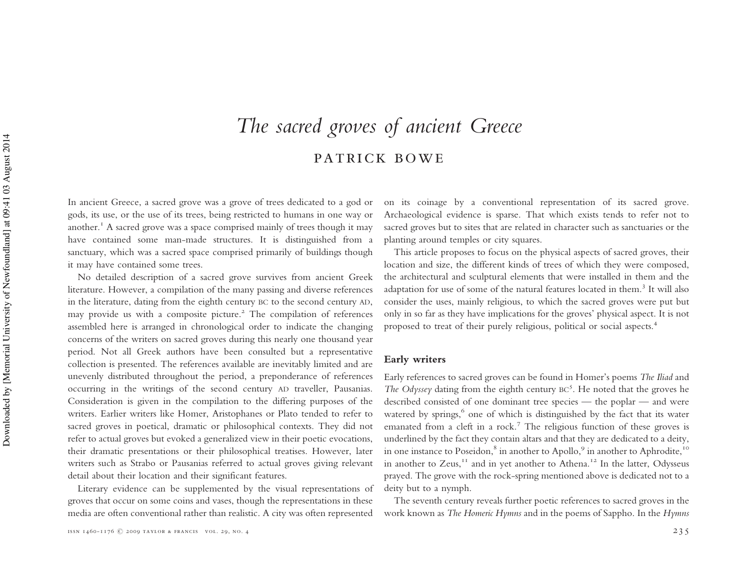# The sacred groves of ancient Greece patrick bowe

In ancient Greece, a sacred grove was a grove of trees dedicated to a god or gods, its use, or the use of its trees, being restricted to humans in one way or another.<sup>1</sup> A sacred grove was a space comprised mainly of trees though it may have contained some man-made structures. It is distinguished from a sanctuary, which was a sacred space comprised primarily of buildings though it may have contained some trees.

No detailed description of a sacred grove survives from ancient Greek literature. However, a compilation of the many passing and diverse references in the literature, dating from the eighth century BC to the second century AD, may provide us with a composite picture.<sup>2</sup> The compilation of references assembled here is arranged in chronological order to indicate the changing concerns of the writers on sacred groves during this nearly one thousand year period. Not all Greek authors have been consulted but a representative collection is presented. The references available are inevitably limited and are unevenly distributed throughout the period, a preponderance of references occurring in the writings of the second century AD traveller, Pausanias. Consideration is given in the compilation to the differing purposes of the writers. Earlier writers like Homer, Aristophanes or Plato tended to refer to sacred groves in poetical, dramatic or philosophical contexts. They did not refer to actual groves but evoked a generalized view in their poetic evocations, their dramatic presentations or their philosophical treatises. However, later writers such as Strabo or Pausanias referred to actual groves giving relevant detail about their location and their significant features.

Literary evidence can be supplemented by the visual representations of groves that occur on some coins and vases, though the representations in these media are often conventional rather than realistic. A city was often represented

on its coinage by a conventional representation of its sacred grove. Archaeological evidence is sparse. That which exists tends to refer not to sacred groves but to sites that are related in character such as sanctuaries or the planting around temples or city squares.

This article proposes to focus on the physical aspects of sacred groves, their location and size, the different kinds of trees of which they were composed, the architectural and sculptural elements that were installed in them and the adaptation for use of some of the natural features located in them.<sup>3</sup> It will also consider the uses, mainly religious, to which the sacred groves were put but only in so far as they have implications for the groves' physical aspect. It is not proposed to treat of their purely religious, political or social aspects.<sup>4</sup>

## Early writers

Early references to sacred groves can be found in Homer's poems The Iliad and The Odyssey dating from the eighth century  $BC<sup>5</sup>$ . He noted that the groves he described consisted of one dominant tree species — the poplar — and were watered by springs,<sup>6</sup> one of which is distinguished by the fact that its water emanated from a cleft in a rock.<sup>7</sup> The religious function of these groves is underlined by the fact they contain altars and that they are dedicated to a deity, in one instance to Poseidon, $^8$  in another to Apollo, $^9$  in another to Aphrodite,  $^{\text{\tiny{10}}}$ in another to  $Zeus$ ,<sup>11</sup> and in yet another to Athena.<sup>12</sup> In the latter, Odysseus prayed. The grove with the rock-spring mentioned above is dedicated not to a deity but to a nymph.

The seventh century reveals further poetic references to sacred groves in the work known as The Homeric Hymns and in the poems of Sappho. In the Hymns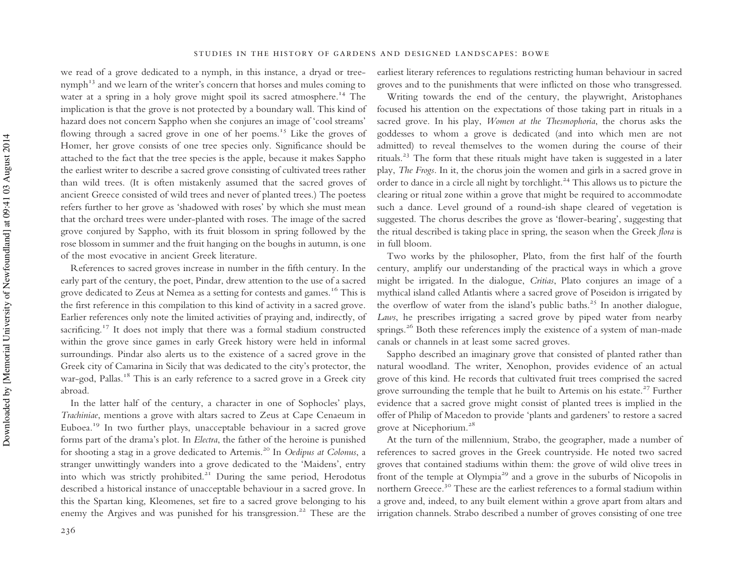we read of a grove dedicated to a nymph, in this instance, a dryad or treenymph<sup>13</sup> and we learn of the writer's concern that horses and mules coming to water at a spring in a holy grove might spoil its sacred atmosphere.<sup>14</sup> The implication is that the grove is not protected by a boundary wall. This kind of hazard does not concern Sappho when she conjures an image of 'cool streams' flowing through a sacred grove in one of her poems.<sup>15</sup> Like the groves of Homer, her grove consists of one tree species only. Significance should be attached to the fact that the tree species is the apple, because it makes Sappho the earliest writer to describe a sacred grove consisting of cultivated trees rather than wild trees. (It is often mistakenly assumed that the sacred groves of ancient Greece consisted of wild trees and never of planted trees.) The poetess refers further to her grove as 'shadowed with roses' by which she must mean that the orchard trees were under-planted with roses. The image of the sacred grove conjured by Sappho, with its fruit blossom in spring followed by the rose blossom in summer and the fruit hanging on the boughs in autumn, is one of the most evocative in ancient Greek literature.

References to sacred groves increase in number in the fifth century. In the early part of the century, the poet, Pindar, drew attention to the use of a sacred grove dedicated to Zeus at Nemea as a setting for contests and games.<sup>16</sup> This is the first reference in this compilation to this kind of activity in a sacred grove. Earlier references only note the limited activities of praying and, indirectly, of sacrificing.<sup>17</sup> It does not imply that there was a formal stadium constructed within the grove since games in early Greek history were held in informal surroundings. Pindar also alerts us to the existence of a sacred grove in the Greek city of Camarina in Sicily that was dedicated to the city's protector, the war-god, Pallas.<sup>18</sup> This is an early reference to a sacred grove in a Greek city abroad.

In the latter half of the century, a character in one of Sophocles' plays, Trachiniae, mentions a grove with altars sacred to Zeus at Cape Cenaeum in Euboea.<sup>19</sup> In two further plays, unacceptable behaviour in a sacred grove forms part of the drama's plot. In Electra, the father of the heroine is punished for shooting a stag in a grove dedicated to Artemis.<sup>20</sup> In Oedipus at Colonus, a stranger unwittingly wanders into a grove dedicated to the 'Maidens', entry into which was strictly prohibited.<sup>21</sup> During the same period, Herodotus described a historical instance of unacceptable behaviour in a sacred grove. In this the Spartan king, Kleomenes, set fire to a sacred grove belonging to his enemy the Argives and was punished for his transgression.<sup>22</sup> These are the earliest literary references to regulations restricting human behaviour in sacred groves and to the punishments that were inflicted on those who transgressed.

Writing towards the end of the century, the playwright, Aristophanes focused his attention on the expectations of those taking part in rituals in a sacred grove. In his play, *Women at the Thesmophoria*, the chorus asks the goddesses to whom a grove is dedicated (and into which men are not admitted) to reveal themselves to the women during the course of their rituals.<sup>23</sup> The form that these rituals might have taken is suggested in a later play, The Frogs. In it, the chorus join the women and girls in a sacred grove in order to dance in a circle all night by torchlight.<sup>24</sup> This allows us to picture the clearing or ritual zone within a grove that might be required to accommodate such a dance. Level ground of a round-ish shape cleared of vegetation is suggested. The chorus describes the grove as 'flower-bearing', suggesting that the ritual described is taking place in spring, the season when the Greek flora is in full bloom.

Two works by the philosopher, Plato, from the first half of the fourth century, amplify our understanding of the practical ways in which a grove might be irrigated. In the dialogue, Critias, Plato conjures an image of a mythical island called Atlantis where a sacred grove of Poseidon is irrigated by the overflow of water from the island's public baths.<sup>25</sup> In another dialogue, Laws, he prescribes irrigating a sacred grove by piped water from nearby springs.<sup>26</sup> Both these references imply the existence of a system of man-made canals or channels in at least some sacred groves.

Sappho described an imaginary grove that consisted of planted rather than natural woodland. The writer, Xenophon, provides evidence of an actual grove of this kind. He records that cultivated fruit trees comprised the sacred grove surrounding the temple that he built to Artemis on his estate.<sup>27</sup> Further evidence that a sacred grove might consist of planted trees is implied in the offer of Philip of Macedon to provide 'plants and gardeners' to restore a sacred grove at Nicephorium.<sup>28</sup>

At the turn of the millennium, Strabo, the geographer, made a number of references to sacred groves in the Greek countryside. He noted two sacred groves that contained stadiums within them: the grove of wild olive trees in front of the temple at Olympia<sup>29</sup> and a grove in the suburbs of Nicopolis in northern Greece.<sup>30</sup> These are the earliest references to a formal stadium within a grove and, indeed, to any built element within a grove apart from altars and irrigation channels. Strabo described a number of groves consisting of one tree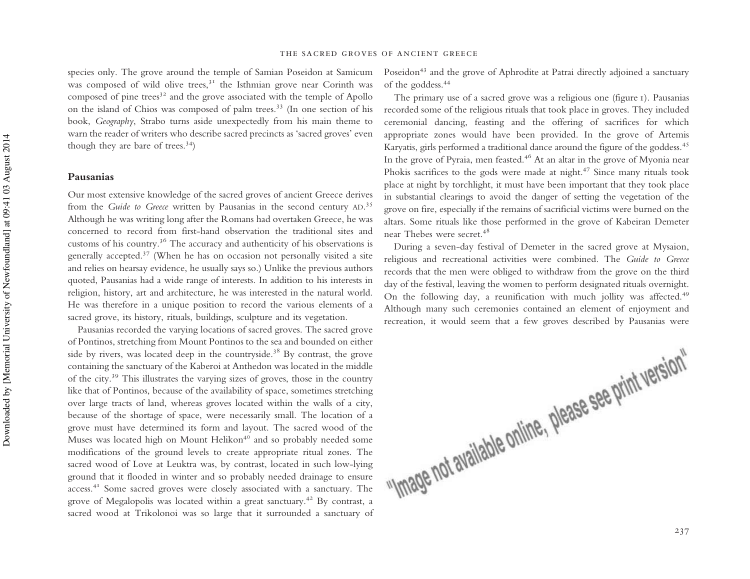species only. The grove around the temple of Samian Poseidon at Samicum was composed of wild olive trees,<sup>31</sup> the Isthmian grove near Corinth was composed of pine trees $32$  and the grove associated with the temple of Apollo on the island of Chios was composed of palm trees.<sup>33</sup> (In one section of his book, Geography, Strabo turns aside unexpectedly from his main theme to warn the reader of writers who describe sacred precincts as 'sacred groves' even though they are bare of trees.<sup>34</sup>)

## Pausanias

Our most extensive knowledge of the sacred groves of ancient Greece derives from the Guide to Greece written by Pausanias in the second century AD.<sup>35</sup> Although he was writing long after the Romans had overtaken Greece, he was concerned to record from first-hand observation the traditional sites and customs of his country.<sup>36</sup> The accuracy and authenticity of his observations is generally accepted.<sup>37</sup> (When he has on occasion not personally visited a site and relies on hearsay evidence, he usually says so.) Unlike the previous authors quoted, Pausanias had a wide range of interests. In addition to his interests in religion, history, art and architecture, he was interested in the natural world. He was therefore in a unique position to record the various elements of a sacred grove, its history, rituals, buildings, sculpture and its vegetation.

Pausanias recorded the varying locations of sacred groves. The sacred grove of Pontinos, stretching from Mount Pontinos to the sea and bounded on either side by rivers, was located deep in the countryside.<sup>38</sup> By contrast, the grove containing the sanctuary of the Kaberoi at Anthedon was located in the middle of the city.<sup>39</sup> This illustrates the varying sizes of groves, those in the country like that of Pontinos, because of the availability of space, sometimes stretching over large tracts of land, whereas groves located within the walls of a city, because of the shortage of space, were necessarily small. The location of a grove must have determined its form and layout. The sacred wood of the Muses was located high on Mount Helikon<sup>40</sup> and so probably needed some modifications of the ground levels to create appropriate ritual zones. The sacred wood of Love at Leuktra was, by contrast, located in such low-lying ground that it flooded in winter and so probably needed drainage to ensure access. <sup>41</sup> Some sacred groves were closely associated with a sanctuary. The grove of Megalopolis was located within a great sanctuary.<sup>42</sup> By contrast, a sacred wood at Trikolonoi was so large that it surrounded a sanctuary of Poseidon<sup>43</sup> and the grove of Aphrodite at Patrai directly adjoined a sanctuary of the goddess.<sup>44</sup>

The primary use of a sacred grove was a religious one (figure 1). Pausanias recorded some of the religious rituals that took place in groves. They included ceremonial dancing, feasting and the offering of sacrifices for which appropriate zones would have been provided. In the grove of Artemis Karyatis, girls performed a traditional dance around the figure of the goddess.<sup>45</sup> In the grove of Pyraia, men feasted.<sup>46</sup> At an altar in the grove of Myonia near Phokis sacrifices to the gods were made at night.<sup>47</sup> Since many rituals took place at night by torchlight, it must have been important that they took place in substantial clearings to avoid the danger of setting the vegetation of the grove on fire, especially if the remains of sacrificial victims were burned on the altars. Some rituals like those performed in the grove of Kabeiran Demeter near Thebes were secret.<sup>48</sup>

During a seven-day festival of Demeter in the sacred grove at Mysaion, religious and recreational activities were combined. The Guide to Greece records that the men were obliged to withdraw from the grove on the third day of the festival, leaving the women to perform designated rituals overnight. On the following day, a reunification with much jollity was affected.<sup>49</sup> Although many such ceremonies contained an element of enjoyment and recreation, it would seem that a few groves described by Pausanias were

"Image not available online, please see print version"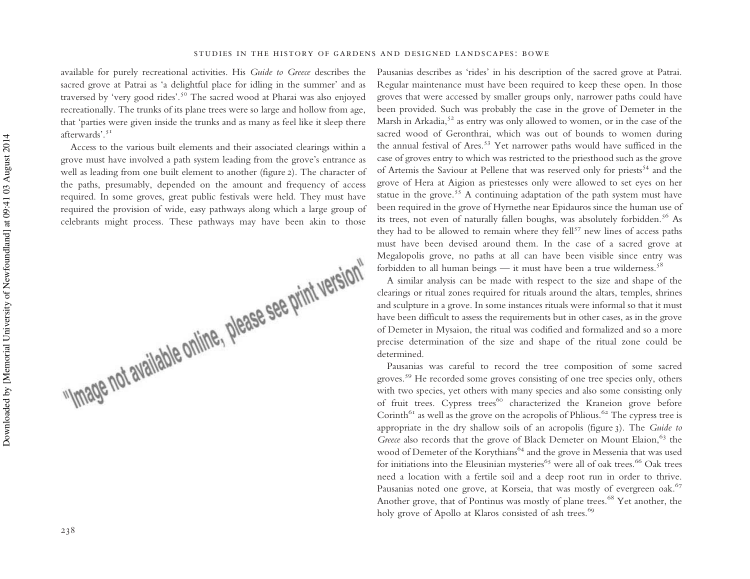available for purely recreational activities. His Guide to Greece describes the sacred grove at Patrai as 'a delightful place for idling in the summer' and as traversed by 'very good rides'.<sup>50</sup> The sacred wood at Pharai was also enjoyed recreationally. The trunks of its plane trees were so large and hollow from age, that 'parties were given inside the trunks and as many as feel like it sleep there afterwards'.<sup>51</sup>

Access to the various built elements and their associated clearings within a grove must have involved a path system leading from the grove's entrance as well as leading from one built element to another (figure 2). The character of the paths, presumably, depended on the amount and frequency of access required. In some groves, great public festivals were held. They must have required the provision of wide, easy pathways along which a large group of celebrants might process. These pathways may have been akin to those

must have been devised around them. In the case of a sacred grove at  $\frac{\text{Meas}}{\text{m}^2}$  (The constraints of right of the case of a sacred grove at  $\frac{\text{Meas}}{\text{m}^2}$  is  $\frac{\text{Meas}}{\text{m}^2}$  and sculpture in a grove. In some

Pausanias describes as 'rides' in his description of the sacred grove at Patrai. Regular maintenance must have been required to keep these open. In those groves that were accessed by smaller groups only, narrower paths could have been provided. Such was probably the case in the grove of Demeter in the Marsh in Arkadia, $5^2$  as entry was only allowed to women, or in the case of the sacred wood of Geronthrai, which was out of bounds to women during the annual festival of Ares.<sup>53</sup> Yet narrower paths would have sufficed in the case of groves entry to which was restricted to the priesthood such as the grove of Artemis the Saviour at Pellene that was reserved only for priests<sup>54</sup> and the grove of Hera at Aigion as priestesses only were allowed to set eyes on her statue in the grove.<sup>55</sup> A continuing adaptation of the path system must have been required in the grove of Hyrnethe near Epidauros since the human use of its trees, not even of naturally fallen boughs, was absolutely forbidden.<sup>56</sup> As they had to be allowed to remain where they  $fell^{57}$  new lines of access paths Megalopolis grove, no paths at all can have been visible since entry was forbidden to all human beings — it must have been a true wilderness.<sup>58</sup>

A similar analysis can be made with respect to the size and shape of the clearings or ritual zones required for rituals around the altars, temples, shrines and sculpture in a grove. In some instances rituals were informal so that it must have been difficult to assess the requirements but in other cases, as in the grove of Demeter in Mysaion, the ritual was codified and formalized and so a more precise determination of the size and shape of the ritual zone could be determined.

Pausanias was careful to record the tree composition of some sacred groves. <sup>59</sup> He recorded some groves consisting of one tree species only, others with two species, yet others with many species and also some consisting only of fruit trees. Cypress trees<sup>60</sup> characterized the Kraneion grove before Corinth<sup>61</sup> as well as the grove on the acropolis of Phlious.<sup>62</sup> The cypress tree is appropriate in the dry shallow soils of an acropolis (figure 3). The Guide to Greece also records that the grove of Black Demeter on Mount Elaion,<sup>63</sup> the wood of Demeter of the Korythians<sup>64</sup> and the grove in Messenia that was used for initiations into the Eleusinian mysteries<sup>65</sup> were all of oak trees.<sup>66</sup> Oak trees need a location with a fertile soil and a deep root run in order to thrive. Pausanias noted one grove, at Korseia, that was mostly of evergreen oak.<sup>67</sup> Another grove, that of Pontinus was mostly of plane trees.<sup>68</sup> Yet another, the holy grove of Apollo at Klaros consisted of ash trees.<sup>69</sup>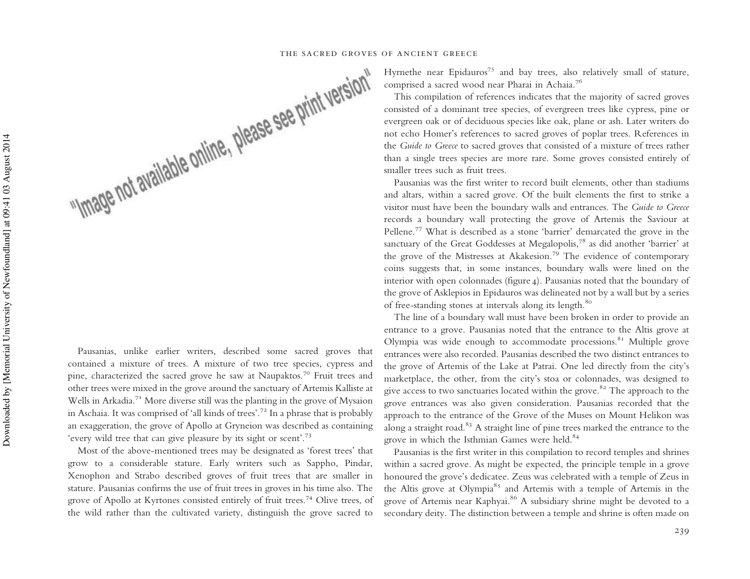Downloaded by [Memorial University of Newfoundland] at 09:41 03 August 2014 Downloaded by [Memorial University of Newfoundland] at 09:41 03 August 2014

Pausanias, unlike earlier writers, described some sacred groves that contained a mixture of trees. A mixture of two tree species, cypress and pine, characterized the sacred grove he saw at Naupaktos.<sup>70</sup> Fruit trees and other trees were mixed in the grove around the sanctuary of Artemis Kalliste at Wells in Arkadia.<sup>71</sup> More diverse still was the planting in the grove of Mysaion in Aschaia. It was comprised of 'all kinds of trees'.<sup>72</sup> In a phrase that is probably an exaggeration, the grove of Apollo at Gryneion was described as containing 'every wild tree that can give pleasure by its sight or scent'.<sup>73</sup>

Most of the above-mentioned trees may be designated as 'forest trees' that grow to a considerable stature. Early writers such as Sappho, Pindar, Xenophon and Strabo described groves of fruit trees that are smaller in stature. Pausanias confirms the use of fruit trees in groves in his time also. The grove of Apollo at Kyrtones consisted entirely of fruit trees.<sup>74</sup> Olive trees, of the wild rather than the cultivated variety, distinguish the grove sacred to

comprised a sacred wood near Pharai in Achaia.<sup>76</sup>

Hymethe near Epidauros<sup>75</sup> and bay trees, also relatively small of stature,<br>
This compision of references indicates that the majority of sacred grove-<br>
consisted a dominant tree species, of evergence to account of stature This compilation of references indicates that the majority of sacred groves consisted of a dominant tree species, of evergreen trees like cypress, pine or evergreen oak or of deciduous species like oak, plane or ash. Later writers do not echo Homer's references to sacred groves of poplar trees. References in the Guide to Greece to sacred groves that consisted of a mixture of trees rather than a single trees species are more rare. Some groves consisted entirely of smaller trees such as fruit trees.

Pausanias was the first writer to record built elements, other than stadiums and altars, within a sacred grove. Of the built elements the first to strike a visitor must have been the boundary walls and entrances. The Guide to Greece records a boundary wall protecting the grove of Artemis the Saviour at Pellene.<sup>77</sup> What is described as a stone 'barrier' demarcated the grove in the sanctuary of the Great Goddesses at Megalopolis,<sup>78</sup> as did another 'barrier' at the grove of the Mistresses at Akakesion.<sup>79</sup> The evidence of contemporary coins suggests that, in some instances, boundary walls were lined on the interior with open colonnades (figure 4). Pausanias noted that the boundary of the grove of Asklepios in Epidauros was delineated not by a wall but by a series of free-standing stones at intervals along its length.<sup>80</sup>

The line of a boundary wall must have been broken in order to provide an entrance to a grove. Pausanias noted that the entrance to the Altis grove at Olympia was wide enough to accommodate processions.<sup>81</sup> Multiple grove entrances were also recorded. Pausanias described the two distinct entrances to the grove of Artemis of the Lake at Patrai. One led directly from the city's marketplace, the other, from the city's stoa or colonnades, was designed to give access to two sanctuaries located within the grove.<sup>82</sup> The approach to the grove entrances was also given consideration. Pausanias recorded that the approach to the entrance of the Grove of the Muses on Mount Helikon was along a straight road. $83$  A straight line of pine trees marked the entrance to the grove in which the Isthmian Games were held.<sup>84</sup>

Pausanias is the first writer in this compilation to record temples and shrines within a sacred grove. As might be expected, the principle temple in a grove honoured the grove's dedicatee. Zeus was celebrated with a temple of Zeus in the Altis grove at Olympia<sup>85</sup> and Artemis with a temple of Artemis in the grove of Artemis near Kaphyai.<sup>86</sup> A subsidiary shrine might be devoted to a secondary deity. The distinction between a temple and shrine is often made on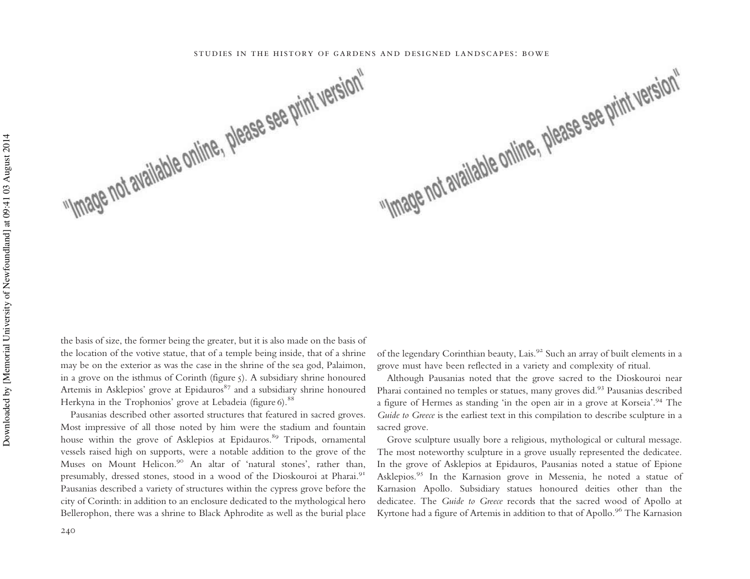studies in the history of cardens and designed landscapes: bowe<br>Image not available online, please see print version"

the basis of size, the former being the greater, but it is also made on the basis of the location of the votive statue, that of a temple being inside, that of a shrine may be on the exterior as was the case in the shrine of the sea god, Palaimon, in a grove on the isthmus of Corinth (figure  $\varsigma$ ). A subsidiary shrine honoured Artemis in Asklepios' grove at Epidauros<sup>87</sup> and a subsidiary shrine honoured Herkyna in the Trophonios' grove at Lebadeia (figure 6).<sup>88</sup>

Pausanias described other assorted structures that featured in sacred groves. Most impressive of all those noted by him were the stadium and fountain house within the grove of Asklepios at Epidauros.<sup>89</sup> Tripods, ornamental vessels raised high on supports, were a notable addition to the grove of the Muses on Mount Helicon.<sup>90</sup> An altar of 'natural stones', rather than, presumably, dressed stones, stood in a wood of the Dioskouroi at Pharai.<sup>91</sup> Pausanias described a variety of structures within the cypress grove before the city of Corinth: in addition to an enclosure dedicated to the mythological hero Bellerophon, there was a shrine to Black Aphrodite as well as the burial place

of the legendary Corinthian beauty, Lais.<sup>92</sup> Such an array of built elements in a grove must have been reflected in a variety and complexity of ritual.

Although Pausanias noted that the grove sacred to the Dioskouroi near Pharai contained no temples or statues, many groves did.<sup>93</sup> Pausanias described a figure of Hermes as standing 'in the open air in a grove at Korseia'.<sup>94</sup> The Guide to Greece is the earliest text in this compilation to describe sculpture in a sacred grove.

Grove sculpture usually bore a religious, mythological or cultural message. The most noteworthy sculpture in a grove usually represented the dedicatee. In the grove of Asklepios at Epidauros, Pausanias noted a statue of Epione Asklepios.<sup>95</sup> In the Karnasion grove in Messenia, he noted a statue of Karnasion Apollo. Subsidiary statues honoured deities other than the dedicatee. The Guide to Greece records that the sacred wood of Apollo at Kyrtone had a figure of Artemis in addition to that of Apollo.<sup>96</sup> The Karnasion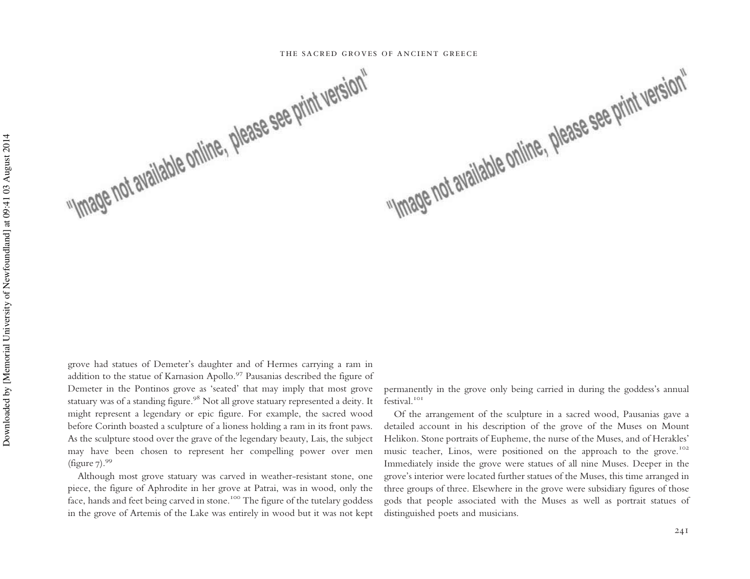innage not available online, please see print version"

grove had statues of Demeter's daughter and of Hermes carrying a ram in addition to the statue of Karnasion Apollo.<sup>97</sup> Pausanias described the figure of Demeter in the Pontinos grove as 'seated' that may imply that most grove statuary was of a standing figure.<sup>98</sup> Not all grove statuary represented a deity. It might represent a legendary or epic figure. For example, the sacred wood before Corinth boasted a sculpture of a lioness holding a ram in its front paws. As the sculpture stood over the grave of the legendary beauty, Lais, the subject may have been chosen to represent her compelling power over men (figure  $7$ ).  $99$ 

Although most grove statuary was carved in weather-resistant stone, one piece, the figure of Aphrodite in her grove at Patrai, was in wood, only the face, hands and feet being carved in stone.<sup>100</sup> The figure of the tutelary goddess in the grove of Artemis of the Lake was entirely in wood but it was not kept

permanently in the grove only being carried in during the goddess's annual festival.<sup>101</sup>

Of the arrangement of the sculpture in a sacred wood, Pausanias gave a detailed account in his description of the grove of the Muses on Mount Helikon. Stone portraits of Eupheme, the nurse of the Muses, and of Herakles' music teacher, Linos, were positioned on the approach to the grove.<sup>102</sup> Immediately inside the grove were statues of all nine Muses. Deeper in the grove's interior were located further statues of the Muses, this time arranged in three groups of three. Elsewhere in the grove were subsidiary figures of those gods that people associated with the Muses as well as portrait statues of distinguished poets and musicians.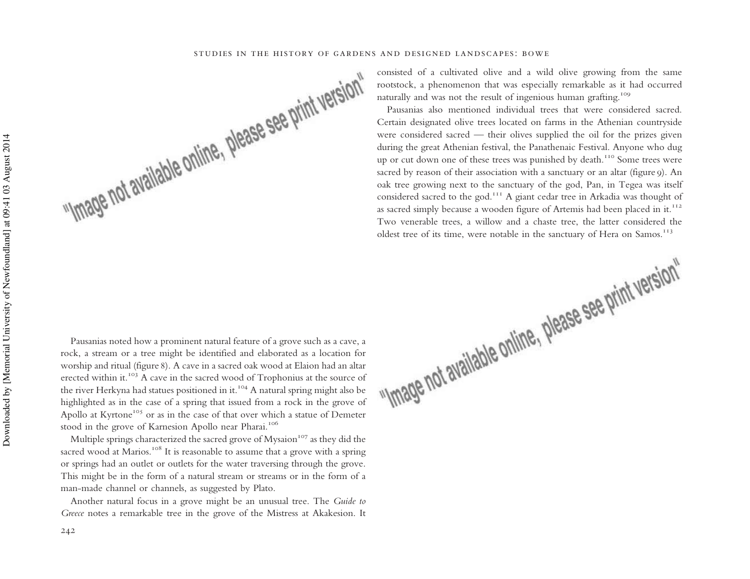studies in the history of gardens and designed landscapes: bowe

consisted of a cultivated olive and a wild olive growing from the same<br>neutrally and was not received of a cultivated of a cultivated of a wild olive growing from the same<br>neutrally and was not received from the same<br>neut

rootstock, a phenomenon that was especially remarkable as it had occurred naturally and was not the result of ingenious human grafting.<sup>109</sup>

Pausanias also mentioned individual trees that were considered sacred. Certain designated olive trees located on farms in the Athenian countryside were considered sacred — their olives supplied the oil for the prizes given during the great Athenian festival, the Panathenaic Festival. Anyone who dug up or cut down one of these trees was punished by death.<sup>110</sup> Some trees were sacred by reason of their association with a sanctuary or an altar (figure 9). An oak tree growing next to the sanctuary of the god, Pan, in Tegea was itself considered sacred to the god.<sup>111</sup> A giant cedar tree in Arkadia was thought of as sacred simply because a wooden figure of Artemis had been placed in it.<sup>112</sup> Two venerable trees, a willow and a chaste tree, the latter considered the oldest tree of its time, were notable in the sanctuary of Hera on Samos.<sup>113</sup>

"Image not available online, please see print version"

Pausanias noted how a prominent natural feature of a grove such as a cave, a rock, a stream or a tree might be identified and elaborated as a location for worship and ritual (figure 8). A cave in a sacred oak wood at Elaion had an altar erected within it.<sup>103</sup> A cave in the sacred wood of Trophonius at the source of the river Herkyna had statues positioned in it.<sup>104</sup> A natural spring might also be highlighted as in the case of a spring that issued from a rock in the grove of Apollo at Kyrtone<sup>105</sup> or as in the case of that over which a statue of Demeter stood in the grove of Karnesion Apollo near Pharai.<sup>106</sup>

Multiple springs characterized the sacred grove of Mysaion $107$  as they did the sacred wood at Marios.<sup>108</sup> It is reasonable to assume that a grove with a spring or springs had an outlet or outlets for the water traversing through the grove. This might be in the form of a natural stream or streams or in the form of a man-made channel or channels, as suggested by Plato.

Another natural focus in a grove might be an unusual tree. The Guide to Greece notes a remarkable tree in the grove of the Mistress at Akakesion. It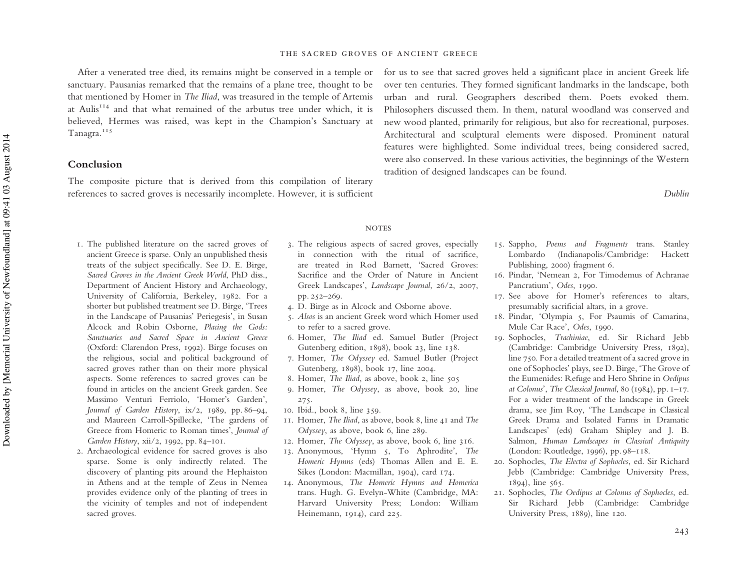After a venerated tree died, its remains might be conserved in a temple or sanctuary. Pausanias remarked that the remains of a plane tree, thought to be that mentioned by Homer in The Iliad, was treasured in the temple of Artemis at Aulis<sup>114</sup> and that what remained of the arbutus tree under which, it is believed, Hermes was raised, was kept in the Champion's Sanctuary at Tanagra.<sup>115</sup>

# Conclusion

The composite picture that is derived from this compilation of literary references to sacred groves is necessarily incomplete. However, it is sufficient for us to see that sacred groves held a significant place in ancient Greek life over ten centuries. They formed significant landmarks in the landscape, both urban and rural. Geographers described them. Poets evoked them. Philosophers discussed them. In them, natural woodland was conserved and new wood planted, primarily for religious, but also for recreational, purposes. Architectural and sculptural elements were disposed. Prominent natural features were highlighted. Some individual trees, being considered sacred, were also conserved. In these various activities, the beginnings of the Western tradition of designed landscapes can be found.

Dublin

# **NOTES**

- 1. The published literature on the sacred groves of ancient Greece is sparse. Only an unpublished thesis treats of the subject specifically. See D. E. Birge, Sacred Groves in the Ancient Greek World, PhD diss., Department of Ancient History and Archaeology, University of California, Berkeley, 1982. For a shorter but published treatment see D. Birge, 'Trees in the Landscape of Pausanias' Periegesis', in Susan Alcock and Robin Osborne, Placing the Gods: Sanctuaries and Sacred Space in Ancient Greece (Oxford: Clarendon Press, 1992). Birge focuses on the religious, social and political background of sacred groves rather than on their more physical aspects. Some references to sacred groves can be found in articles on the ancient Greek garden. See Massimo Venturi Ferriolo, 'Homer's Garden', Journal of Garden History, ix/2, 1989, pp. 86–94, and Maureen Carroll-Spillecke, 'The gardens of Greece from Homeric to Roman times', Journal of Garden History, xii/2, 1992, pp. 84–101.
- 2. Archaeological evidence for sacred groves is also sparse. Some is only indirectly related. The discovery of planting pits around the Hephaiston in Athens and at the temple of Zeus in Nemea provides evidence only of the planting of trees in the vicinity of temples and not of independent sacred groves.
- 3. The religious aspects of sacred groves, especially in connection with the ritual of sacrifice, are treated in Rod Barnett, 'Sacred Groves: Sacrifice and the Order of Nature in Ancient Greek Landscapes', Landscape Journal, 26/2, 2007, pp. 252–269.
- 4. D. Birge as in Alcock and Osborne above.
- 5. Alsos is an ancient Greek word which Homer used to refer to a sacred grove.
- 6. Homer, The Iliad ed. Samuel Butler (Project Gutenberg edition, 1898), book 23, line 138.
- 7. Homer, The Odyssey ed. Samuel Butler (Project Gutenberg, 1898), book 17, line 2004.
- 8. Homer, *The Iliad*, as above, book 2, line 505
- 9. Homer, The Odyssey, as above, book 20, line 275.
- 10. Ibid., book 8, line 359.
- 11. Homer, The Iliad, as above, book 8, line 41 and The Odyssey, as above, book 6, line 289.
- 12. Homer, The Odyssey, as above, book 6, line 316.
- 13. Anonymous, 'Hymn 5, To Aphrodite', The Homeric Hymns (eds) Thomas Allen and E. E. Sikes (London: Macmillan, 1904), card 174.
- 14. Anonymous, The Homeric Hymns and Homerica trans. Hugh. G. Evelyn-White (Cambridge, MA: Harvard University Press; London: William Heinemann, 1914), card 225.
- 15. Sappho, Poems and Fragments trans. Stanley Lombardo (Indianapolis/Cambridge: Hackett Publishing, 2000) fragment 6.
- 16. Pindar, 'Nemean 2, For Timodemus of Achranae Pancratium', Odes, 1990.
- 17. See above for Homer's references to altars, presumably sacrificial altars, in a grove.
- 18. Pindar, 'Olympia 5, For Psaumis of Camarina, Mule Car Race', Odes, 1990.
- 19. Sophocles, Trachiniae, ed. Sir Richard Jebb (Cambridge: Cambridge University Press, 1892), line 750. For a detailed treatment of a sacred grove in one of Sophocles' plays, see D. Birge, 'The Grove of the Eumenides: Refuge and Hero Shrine in Oedipus at Colonus', The Classical Journal, 80 (1984), pp.  $I-I7$ . For a wider treatment of the landscape in Greek drama, see Jim Roy, 'The Landscape in Classical Greek Drama and Isolated Farms in Dramatic Landscapes' (eds) Graham Shipley and J. B. Salmon, Human Landscapes in Classical Antiquity (London: Routledge, 1996), pp. 98–118.
- 20. Sophocles, The Electra of Sophocles, ed. Sir Richard Jebb (Cambridge: Cambridge University Press, 1894), line 565.
- 21. Sophocles, The Oedipus at Colonus of Sophocles, ed. Sir Richard Jebb (Cambridge: Cambridge University Press, 1889), line 120.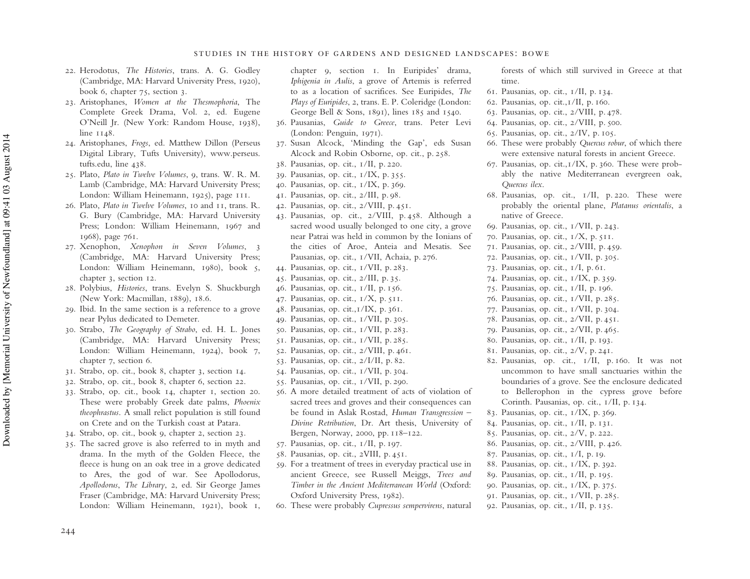- 22. Herodotus, The Histories, trans. A. G. Godley (Cambridge, MA: Harvard University Press, 1920), book 6, chapter 75, section 3.
- 23. Aristophanes, Women at the Thesmophoria, The Complete Greek Drama, Vol. 2, ed. Eugene O'Neill Jr. (New York: Random House, 1938), line 1148.
- 24. Aristophanes, Frogs, ed. Matthew Dillon (Perseus Digital Library, Tufts University), www.perseus. tufts.edu, line 438.
- 25. Plato, Plato in Twelve Volumes, 9, trans. W. R. M. Lamb (Cambridge, MA: Harvard University Press; London: William Heinemann, 1925), page 111.
- 26. Plato, Plato in Twelve Volumes, 10 and 11, trans. R. G. Bury (Cambridge, MA: Harvard University Press; London: William Heinemann, 1967 and 1968), page 761.
- 27. Xenophon, Xenophon in Seven Volumes, 3 (Cambridge, MA: Harvard University Press; London: William Heinemann, 1980), book 5, chapter 3, section 12.
- 28. Polybius, Histories, trans. Evelyn S. Shuckburgh (New York: Macmillan, 1889), 18.6.
- 29. Ibid. In the same section is a reference to a grove near Pylus dedicated to Demeter.
- 30. Strabo, The Geography of Strabo, ed. H. L. Jones (Cambridge, MA: Harvard University Press; London: William Heinemann, 1924), book 7, chapter 7, section 6.
- 31. Strabo, op. cit., book 8, chapter 3, section 14.
- 32. Strabo, op. cit., book 8, chapter 6, section 22.
- 33. Strabo, op. cit., book 14, chapter 1, section 20. These were probably Greek date palms, Phoenix theophrastus. A small relict population is still found on Crete and on the Turkish coast at Patara.
- 34. Strabo, op. cit., book 9, chapter 2, section 23.
- 35. The sacred grove is also referred to in myth and drama. In the myth of the Golden Fleece, the fleece is hung on an oak tree in a grove dedicated to Ares, the god of war. See Apollodorus, Apollodorus, The Library, 2, ed. Sir George James Fraser (Cambridge, MA: Harvard University Press; London: William Heinemann, 1921), book 1,

chapter 9, section 1. In Euripides' drama, Iphigenia in Aulis, a grove of Artemis is referred to as a location of sacrifices. See Euripides, The Plays of Euripides, 2, trans. E. P. Coleridge (London: George Bell & Sons, 1891), lines 185 and 1540.

- 36. Pausanias, Guide to Greece, trans. Peter Levi (London: Penguin, 1971).
- 37. Susan Alcock, 'Minding the Gap', eds Susan Alcock and Robin Osborne, op. cit., p. 258.
- 38. Pausanias, op. cit., 1/II, p. 220.
- 39. Pausanias, op. cit., 1/IX, p. 355.
- 40. Pausanias, op. cit., 1/IX, p. 369.
- 41. Pausanias, op. cit., 2/III, p. 98.
- 42. Pausanias, op. cit., 2/VIII, p. 451.
- 43. Pausanias, op. cit., 2/VIII, p. 458. Although a sacred wood usually belonged to one city, a grove near Patrai was held in common by the Ionians of the cities of Aroe, Anteia and Mesatis. See Pausanias, op. cit., 1/VII, Achaia, p. 276.
- 44. Pausanias, op. cit., 1/VII, p. 283.
- 45. Pausanias, op. cit., 2/III, p. 35.
- 46. Pausanias, op. cit., 1/II, p. 156.
- 47. Pausanias, op. cit., 1/X, p. 511.
- 48. Pausanias, op. cit.,1/IX, p. 361.
- 49. Pausanias, op. cit., 1/VII, p. 305.
- 50. Pausanias, op. cit., 1/VII, p. 283.
- 51. Pausanias, op. cit., 1/VII, p. 285.
- 52. Pausanias, op. cit., 2/VIII, p. 461.
- 53. Pausanias, op. cit., 2/I/II, p. 82.
- 54. Pausanias, op. cit., 1/VII, p. 304.
- 55. Pausanias, op. cit., 1/VII, p. 290.
- 56. A more detailed treatment of acts of violation of sacred trees and groves and their consequences can be found in Aslak Rostad, Human Transgression – Divine Retribution, Dr. Art thesis, University of Bergen, Norway, 2000, pp. 118–122.
- 57. Pausanias, op. cit., 1/II, p. 197.
- 58. Pausanias, op. cit., 2VIII, p. 451.
- 59. For a treatment of trees in everyday practical use in ancient Greece, see Russell Meiggs, Trees and Timber in the Ancient Mediterranean World (Oxford: Oxford University Press, 1982).
- 60. These were probably Cupressus sempervirens, natural

forests of which still survived in Greece at that time.

- 61. Pausanias, op. cit., 1/II, p. 134.
- 62. Pausanias, op. cit.,1/II, p. 160.
- 63. Pausanias, op. cit., 2/VIII, p. 478.
- 64. Pausanias, op. cit., 2/VIII, p. 500.
- 65. Pausanias, op. cit., 2/IV, p. 105.
- 66. These were probably Quercus robur, of which there were extensive natural forests in ancient Greece.
- 67. Pausanias, op. cit.,1/IX, p. 360. These were probably the native Mediterranean evergreen oak, Quercus ilex.
- 68. Pausanias, op. cit., 1/II, p. 220. These were probably the oriental plane, Platanus orientalis, a native of Greece.
- 69. Pausanias, op. cit., 1/VII, p. 243.
- 70. Pausanias, op. cit., 1/X, p. 511.
- 71. Pausanias, op. cit., 2/VIII, p. 459.
- 72. Pausanias, op. cit., 1/VII, p. 305.
- 73. Pausanias, op. cit., 1/I, p. 61.
- 74. Pausanias, op. cit., 1/IX, p. 359.
- 75. Pausanias, op. cit., 1/II, p. 196.
- 76. Pausanias, op. cit., 1/VII, p. 285.
- 77. Pausanias, op. cit., 1/VII, p. 304.
- 78. Pausanias, op. cit., 2/VII, p. 451.
- 79. Pausanias, op. cit., 2/VII, p. 465.
- 80. Pausanias, op. cit., 1/II, p. 193.
- 81. Pausanias, op. cit., 2/V, p. 241.
- 82. Pausanias, op. cit., 1/II, p. 160. It was not uncommon to have small sanctuaries within the boundaries of a grove. See the enclosure dedicated to Bellerophon in the cypress grove before Corinth. Pausanias, op. cit., 1/II, p. 134.
- 83. Pausanias, op. cit., 1/IX, p. 369.
- 84. Pausanias, op. cit., 1/II, p. 131.
- 85. Pausanias, op. cit., 2/V, p. 222.
- 86. Pausanias, op. cit., 2/VIII, p. 426.
- 87. Pausanias, op. cit., 1/I, p. 19.
- 88. Pausanias, op. cit., 1/IX, p. 392.
- 89. Pausanias, op. cit., 1/II, p. 195.
- 90. Pausanias, op. cit., 1/IX, p. 375.
- 91. Pausanias, op. cit., 1/VII, p. 285.
- 92. Pausanias, op. cit., 1/II, p. 135.